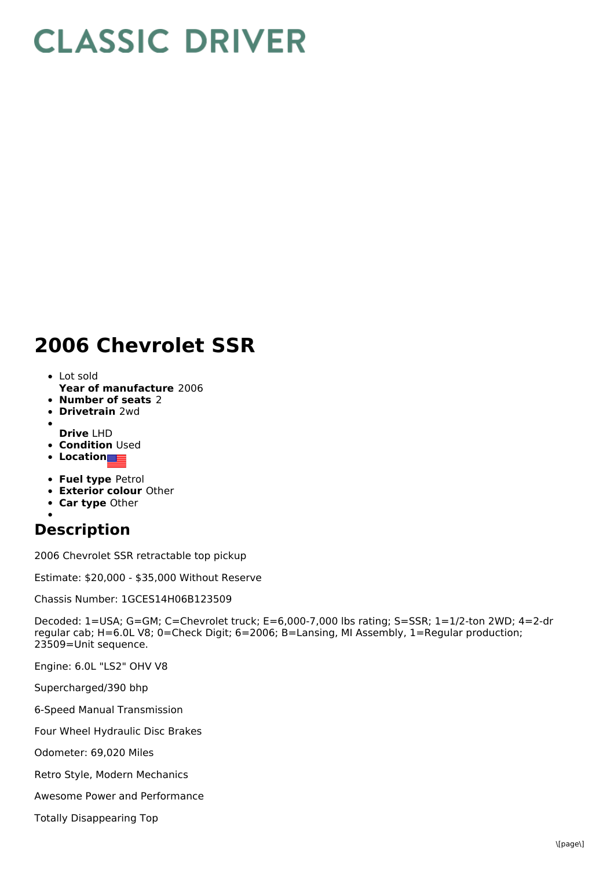## **CLASSIC DRIVER**

## **2006 Chevrolet SSR**

- Lot sold
- **Year of manufacture** 2006
- **Number of seats** 2
- **Drivetrain** 2wd
- **Drive** LHD
- **Condition Used**
- **Location**
- **Fuel type** Petrol
- **Exterior colour** Other
- **Car type** Other
- 

## **Description**

2006 Chevrolet SSR retractable top pickup

Estimate: \$20,000 - \$35,000 Without Reserve

Chassis Number: 1GCES14H06B123509

Decoded: 1=USA; G=GM; C=Chevrolet truck; E=6,000-7,000 lbs rating; S=SSR; 1=1/2-ton 2WD; 4=2-dr regular cab; H=6.0L V8; 0=Check Digit; 6=2006; B=Lansing, MI Assembly, 1=Regular production; 23509=Unit sequence.

Engine: 6.0L "LS2" OHV V8

Supercharged/390 bhp

6-Speed Manual Transmission

Four Wheel Hydraulic Disc Brakes

Odometer: 69,020 Miles

Retro Style, Modern Mechanics

Awesome Power and Performance

Totally Disappearing Top